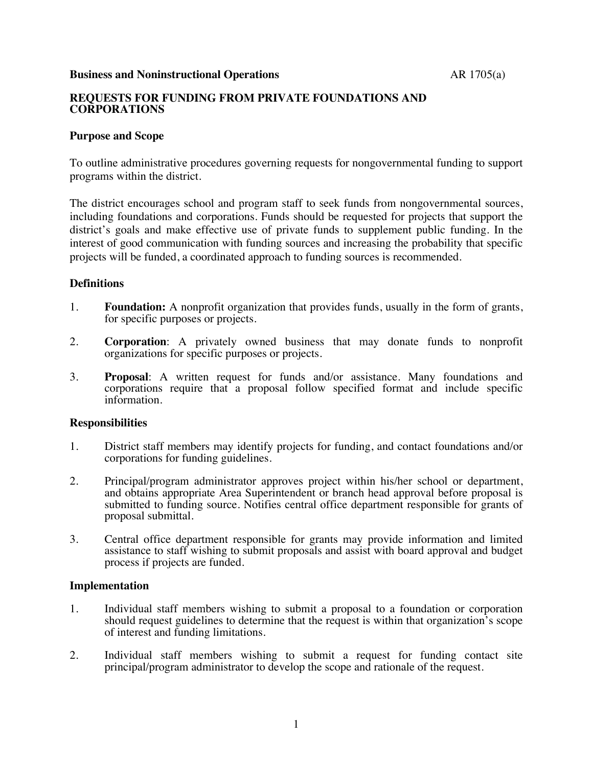#### **Business and Noninstructional Operations** AR 1705(a)

# **REQUESTS FOR FUNDING FROM PRIVATE FOUNDATIONS AND CORPORATIONS**

## **Purpose and Scope**

To outline administrative procedures governing requests for nongovernmental funding to support programs within the district.

The district encourages school and program staff to seek funds from nongovernmental sources, including foundations and corporations. Funds should be requested for projects that support the district's goals and make effective use of private funds to supplement public funding. In the interest of good communication with funding sources and increasing the probability that specific projects will be funded, a coordinated approach to funding sources is recommended.

### **Definitions**

- 1. **Foundation:** A nonprofit organization that provides funds, usually in the form of grants, for specific purposes or projects.
- 2. **Corporation**: A privately owned business that may donate funds to nonprofit organizations for specific purposes or projects.
- 3. **Proposal**: A written request for funds and/or assistance. Many foundations and corporations require that a proposal follow specified format and include specific information.

### **Responsibilities**

- 1. District staff members may identify projects for funding, and contact foundations and/or corporations for funding guidelines.
- 2. Principal/program administrator approves project within his/her school or department, and obtains appropriate Area Superintendent or branch head approval before proposal is submitted to funding source. Notifies central office department responsible for grants of proposal submittal.
- 3. Central office department responsible for grants may provide information and limited assistance to staff wishing to submit proposals and assist with board approval and budget process if projects are funded.

### **Implementation**

- 1. Individual staff members wishing to submit a proposal to a foundation or corporation should request guidelines to determine that the request is within that organization's scope of interest and funding limitations.
- 2. Individual staff members wishing to submit a request for funding contact site principal/program administrator to develop the scope and rationale of the request.